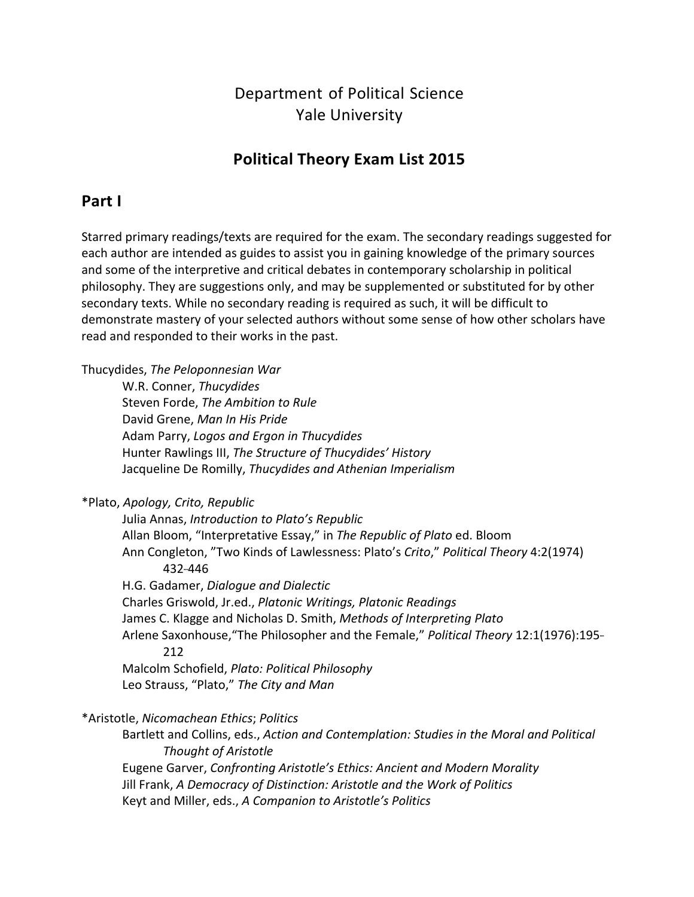# Department of Political Science Yale University

# **Political Theory Exam List 2015**

# **Part I**

 Starred primary readings/texts are required for the exam. The secondary readings suggested for each author are intended as guides to assist you in gaining knowledge of the primary sources and some of the interpretive and critical debates in contemporary scholarship in political philosophy. They are suggestions only, and may be supplemented or substituted for by other secondary texts. While no secondary reading is required as such, it will be difficult to demonstrate mastery of your selected authors without some sense of how other scholars have read and responded to their works in the past.

Thucydides, *The Peloponnesian War*

 W.R. Conner, *Thucydides*  Steven Forde, *The Ambition to Rule*  David Grene, *Man In His Pride*  Adam Parry, *Logos and Ergon in Thucydides*  Hunter Rawlings III, *The Structure of Thucydides' History*  Jacqueline De Romilly, *Thucydides and Athenian Imperialism* 

 \*Plato, *Apology, Crito, Republic* 

 Julia Annas, *Introduction to Plato's Republic*  Allan Bloom, "Interpretative Essay," in *The Republic of Plato* ed. Bloom  Ann Congleton, "Two Kinds of Lawlessness: Plato's *Crito*," *Political Theory* 4:2(1974)  H.G. Gadamer, *Dialogue and Dialectic*  Charles Griswold, Jr.ed., *Platonic Writings, Platonic Readings*  James C. Klagge and Nicholas D. Smith, *Methods of Interpreting Plato* Arlene Saxonhouse, "The Philosopher and the Female," *Political Theory* 12:1(1976):195-  Malcolm Schofield, *Plato: Political Philosophy*  Leo Strauss, "Plato," *The City and Man* 432-446 212 

\*Aristotle, *Nicomachean Ethics*; *Politics*

  Bartlett and Collins, eds., *Action and Contemplation: Studies in the Moral and Political Thought of Aristotle*  Eugene Garver, *Confronting Aristotle's Ethics: Ancient and Modern Morality*  Jill Frank, *A Democracy of Distinction: Aristotle and the Work of Politics*  Keyt and Miller, eds., *A Companion to Aristotle's Politics*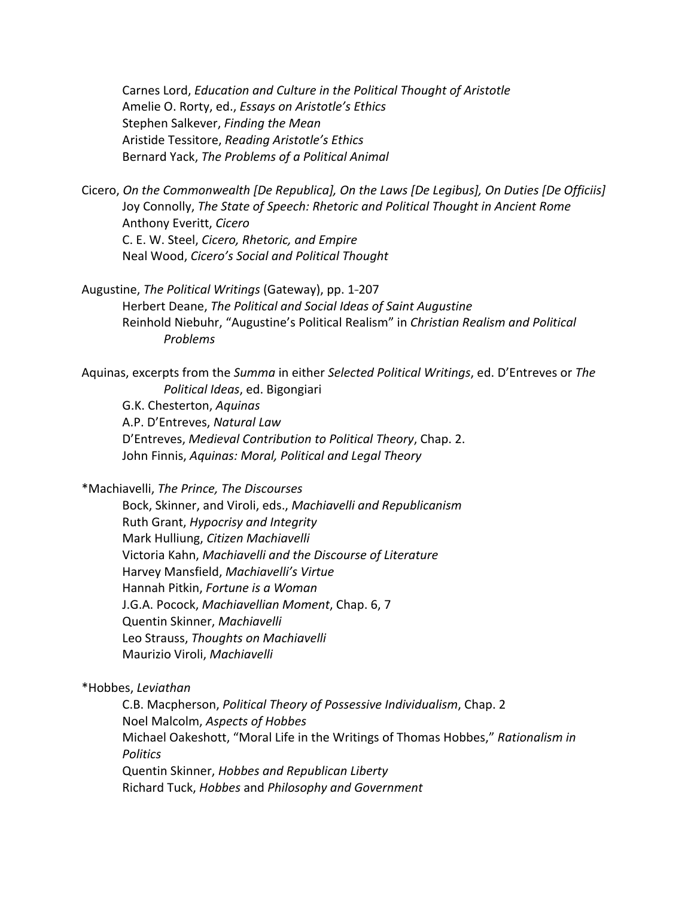Carnes Lord, *Education and Culture in the Political Thought of Aristotle*  Amelie O. Rorty, ed., *Essays on Aristotle's Ethics*  Stephen Salkever, *Finding the Mean*  Aristide Tessitore, *Reading Aristotle's Ethics*  Bernard Yack, *The Problems of a Political Animal*

Cicero, On the Commonwealth [De Republica], On the Laws [De Legibus], On Duties [De Officiis]  Joy Connolly, *The State of Speech: Rhetoric and Political Thought in Ancient Rome* Anthony Everitt, *Cicero*  C. E. W. Steel, *Cicero, Rhetoric, and Empire*  Neal Wood, *Cicero's Social and Political Thought*

Augustine, *The Political Writings* (Gateway), pp. 1-207  Herbert Deane, *The Political and Social Ideas of Saint Augustine*  Reinhold Niebuhr, "Augustine's Political Realism" in *Christian Realism and Political Problems*

  Aquinas, excerpts from the *Summa* in either *Selected Political Writings*, ed. D'Entreves or *The Political Ideas*, ed. Bigongiari G.K. Chesterton, *Aquinas*

 A.P. D'Entreves, *Natural Law*  D'Entreves, *Medieval Contribution to Political Theory*, Chap. 2.  John Finnis, *Aquinas: Moral, Political and Legal Theory*

 \*Machiavelli, *The Prince, The Discourses*

  Bock, Skinner, and Viroli, eds., *Machiavelli and Republicanism*  Ruth Grant, *Hypocrisy and Integrity* Mark Hulliung, *Citizen Machiavelli*  Victoria Kahn, *Machiavelli and the Discourse of Literature* Harvey Mansfield, *Machiavelli's Virtue*  Hannah Pitkin, *Fortune is a Woman* J.G.A. Pocock, *Machiavellian Moment*, Chap. 6, 7 Quentin Skinner, *Machiavelli*  Leo Strauss, *Thoughts on Machiavelli* Maurizio Viroli, *Machiavelli*

 \*Hobbes, *Leviathan*

 C.B. Macpherson, *Political Theory of Possessive Individualism*, Chap. 2  Noel Malcolm, *Aspects of Hobbes* Michael Oakeshott, "Moral Life in the Writings of Thomas Hobbes," Rationalism in  Quentin Skinner, *Hobbes and Republican Liberty*  Richard Tuck, *Hobbes* and *Philosophy and GovernmentPolitics*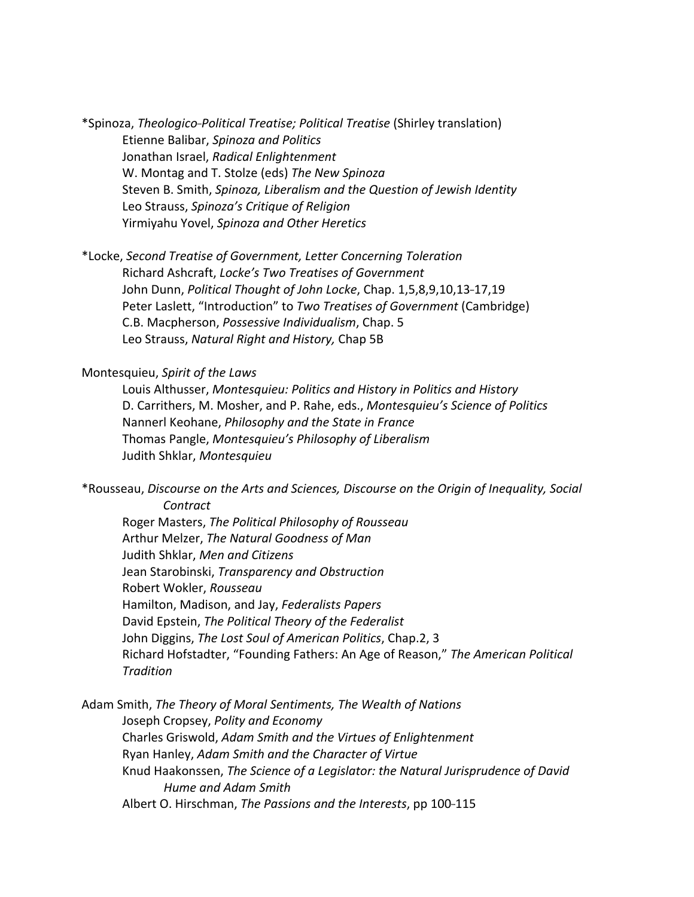\*Spinoza, *Theologico---Political Treatise; Political Treatise* (Shirley translation)  Etienne Balibar, *Spinoza and Politics* Jonathan Israel, *Radical Enlightenment*  W. Montag and T. Stolze (eds) *The New Spinoza*  Steven B. Smith, *Spinoza, Liberalism and the Question of Jewish Identity*  Leo Strauss, *Spinoza's Critique of Religion*  Yirmiyahu Yovel, *Spinoza and Other Heretics*

 \*Locke, *Second Treatise of Government, Letter Concerning Toleration*  Richard Ashcraft, *Locke's Two Treatises of Government* John Dunn, Political Thought of John Locke, Chap. 1,5,8,9,10,13-17,19  Peter Laslett, "Introduction" to *Two Treatises of Government* (Cambridge) C.B. Macpherson, *Possessive Individualism*, Chap. 5  Leo Strauss, *Natural Right and History,* Chap 5B

#### Montesquieu, *Spirit of the Laws*

  Louis Althusser, *Montesquieu: Politics and History in Politics and History*  D. Carrithers, M. Mosher, and P. Rahe, eds., *Montesquieu's Science of Politics*  Nannerl Keohane, *Philosophy and the State in France*  Thomas Pangle, *Montesquieu's Philosophy of Liberalism*  Judith Shklar, *Montesquieu*

 \*Rousseau, *Discourse on the Arts and Sciences, Discourse on the Origin of Inequality, Social Contract*

  Roger Masters, *The Political Philosophy of Rousseau*  Arthur Melzer, *The Natural Goodness of Man*  Judith Shklar, *Men and Citizens*  Jean Starobinski, *Transparency and Obstruction* Robert Wokler, *Rousseau* Hamilton, Madison, and Jay, *Federalists Papers*  David Epstein, *The Political Theory of the Federalist*  John Diggins, *The Lost Soul of American Politics*, Chap.2, 3  Richard Hofstadter, "Founding Fathers: An Age of Reason," *The American Political Tradition*

  Adam Smith, *The Theory of Moral Sentiments, The Wealth of Nations*  Joseph Cropsey, *Polity and Economy*  Charles Griswold, *Adam Smith and the Virtues of Enlightenment*  Ryan Hanley, *Adam Smith and the Character of Virtue*  Knud Haakonssen, *The Science of a Legislator: the Natural Jurisprudence of David Hume and Adam Smith* Albert O. Hirschman, *The Passions and the Interests*, pp 100-115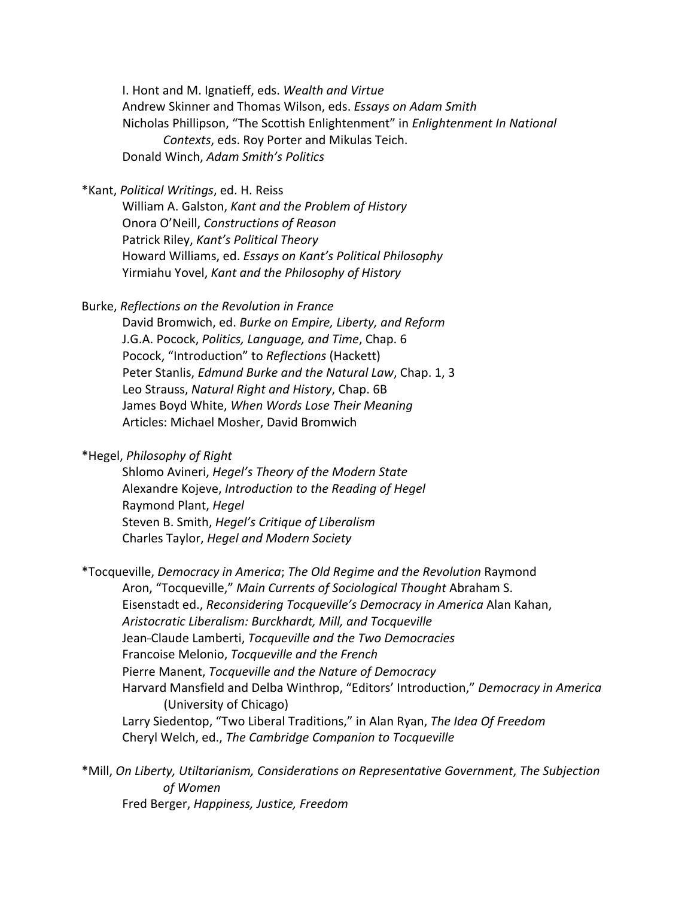I. Hont and M. Ignatieff, eds. *Wealth and Virtue*  Andrew Skinner and Thomas Wilson, eds. *Essays on Adam Smith* Nicholas Phillipson, "The Scottish Enlightenment" in *Enlightenment In National Contexts*, eds. Roy Porter and Mikulas Teich. Donald Winch, *Adam Smith's Politics*

 \*Kant, *Political Writings*, ed. H. Reiss

  William A. Galston, *Kant and the Problem of History*  Onora O'Neill, *Constructions of Reason*  Patrick Riley, *Kant's Political Theory*  Howard Williams, ed. *Essays on Kant's Political Philosophy*  Yirmiahu Yovel, *Kant and the Philosophy of History*

 Burke, *Reflections on the Revolution in France*

  David Bromwich, ed. *Burke on Empire, Liberty, and Reform*  J.G.A. Pocock, *Politics, Language, and Time*, Chap. 6 Pocock, "Introduction" to *Reflections* (Hackett)  Peter Stanlis, *Edmund Burke and the Natural Law*, Chap. 1, 3  Leo Strauss, *Natural Right and History*, Chap. 6B  James Boyd White, *When Words Lose Their Meaning* Articles: Michael Mosher, David Bromwich

 \*Hegel, *Philosophy of Right*

 Shlomo Avineri, *Hegel's Theory of the Modern State*  Alexandre Kojeve, *Introduction to the Reading of Hegel* Raymond Plant, *Hegel*  Steven B. Smith, *Hegel's Critique of Liberalism*  Charles Taylor, *Hegel and Modern Society*

 \*Tocqueville, *Democracy in America*; *The Old Regime and the Revolution* Raymond Aron, "Tocqueville," Main Currents of Sociological Thought Abraham S.  Eisenstadt ed., *Reconsidering Tocqueville's Democracy in America* Alan Kahan,  *Aristocratic Liberalism: Burckhardt, Mill, and Tocqueville*  Jean---Claude Lamberti, *Tocqueville and the Two Democracies*  Francoise Melonio, *Tocqueville and the French*  Pierre Manent, *Tocqueville and the Nature of Democracy*  Harvard Mansfield and Delba Winthrop, "Editors' Introduction," *Democracy in America* (University of Chicago)  Larry Siedentop, "Two Liberal Traditions," in Alan Ryan, *The Idea Of Freedom*  Cheryl Welch, ed., *The Cambridge Companion to Tocqueville*

 \*Mill, *On Liberty, Utiltarianism, Considerations on Representative Government*, *The Subjection*  Fred Berger, *Happiness, Justice, Freedomof Women*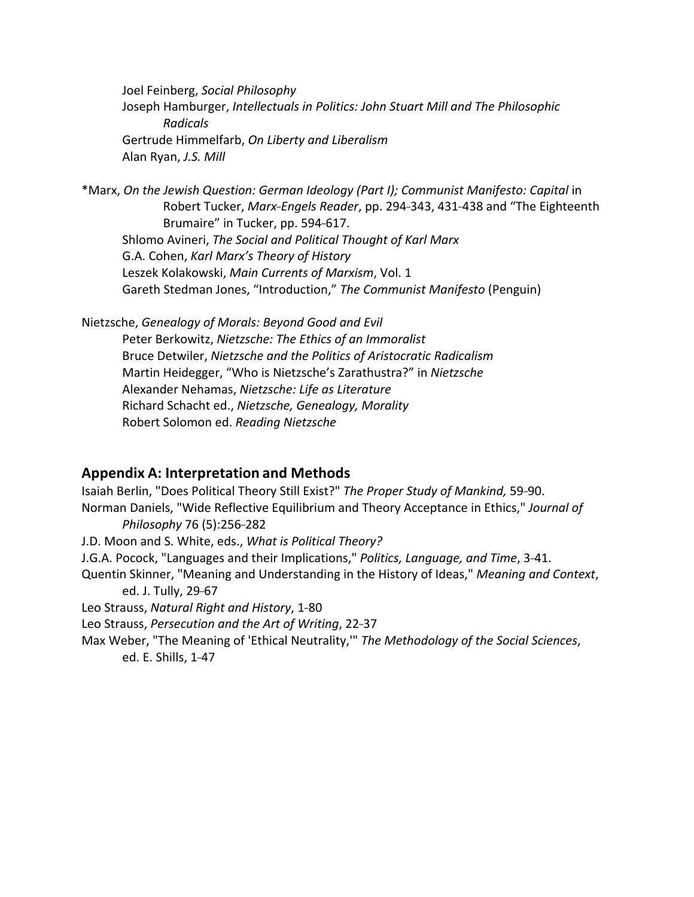Joel Feinberg, *Social Philosophy*  Joseph Hamburger, *Intellectuals in Politics: John Stuart Mill and The Philosophic*  Gertrude Himmelfarb, *On Liberty and Liberalism* Alan Ryan, *J.S. Mill Radicals*

 \*Marx, *On the Jewish Question: German Ideology (Part I); Communist Manifesto: Capital* in Robert Tucker, *Marx-Engels Reader*, pp. 294-343, 431-438 and "The Eighteenth Brumaire" in Tucker, pp. 594-617.  Shlomo Avineri, *The Social and Political Thought of Karl Marx*  G.A. Cohen, *Karl Marx's Theory of History*  Leszek Kolakowski, *Main Currents of Marxism*, Vol. 1 Gareth Stedman Jones, "Introduction," *The Communist Manifesto* (Penguin)

 Nietzsche, *Genealogy of Morals: Beyond Good and Evil*  Peter Berkowitz, *Nietzsche: The Ethics of an Immoralist*  Bruce Detwiler, *Nietzsche and the Politics of Aristocratic Radicalism*  Martin Heidegger, "Who is Nietzsche's Zarathustra?" in *Nietzsche*  Alexander Nehamas, *Nietzsche: Life as Literature*  Richard Schacht ed., *Nietzsche, Genealogy, Morality* Robert Solomon ed. *Reading Nietzsche*

#### **Appendix A: Interpretation and Methods**

*Isaiah Berlin, "Does Political Theory Still Exist?" The Proper Study of Mankind, 59-90.*  Norman Daniels, "Wide Reflective Equilibrium and Theory Acceptance in Ethics," *Journal of*  J.D. Moon and S. White, eds., *What is Political Theory?* J.G.A. Pocock, "Languages and their Implications," Politics, Language, and Time, 3-41.  Quentin Skinner, "Meaning and Understanding in the History of Ideas," *Meaning and Context*, ed. J. Tully, 29-67 Leo Strauss, Natural Right and History, 1-80  Leo Strauss, *Persecution and the Art of Writing*, 22---37  Max Weber, "The Meaning of 'Ethical Neutrality,'" *The Methodology of the Social Sciences*, ed. E. Shills, 1-47 *Philosophy* 76 (5):256-282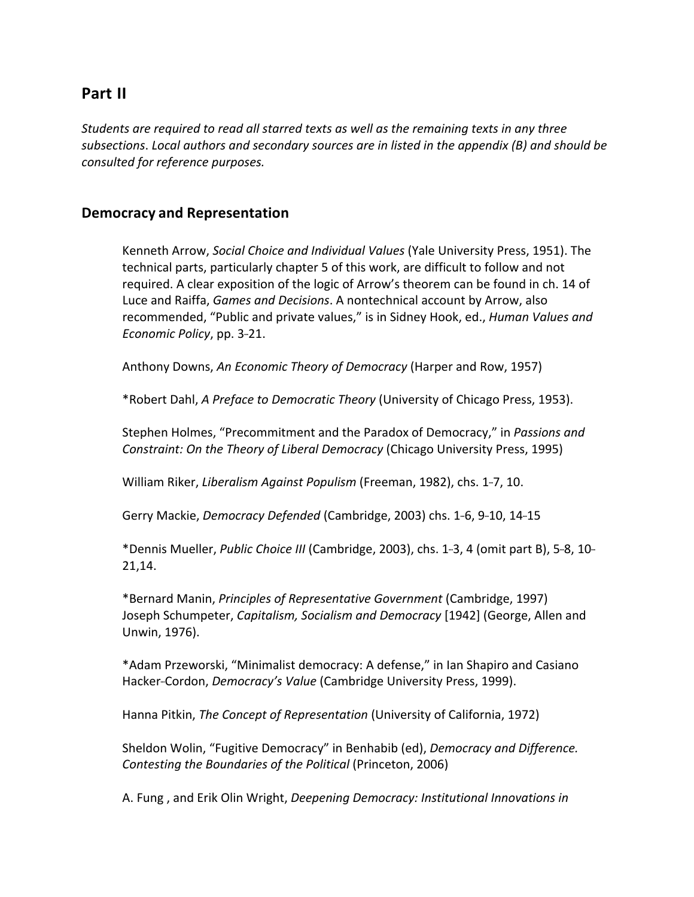## **Part II**

Students are required to read all starred texts as well as the remaining texts in any three subsections. Local authors and secondary sources are in listed in the appendix (B) and should be  *consulted for reference purposes.*

#### **Democracy and Representation**

Kenneth Arrow, Social Choice and Individual Values (Yale University Press, 1951). The technical parts, particularly chapter 5 of this work, are difficult to follow and not required. A clear exposition of the logic of Arrow's theorem can be found in ch. 14 of Luce and Raiffa, *Games and Decisions*. A nontechnical account by Arrow, also  recommended, "Public and private values," is in Sidney Hook, ed., *Human Values and Economic Policy*, pp. 3-21.

Anthony Downs, An *Economic Theory of Democracy* (Harper and Row, 1957)

 \*Robert Dahl, *A Preface to Democratic Theory* (University of Chicago Press, 1953).

 Stephen Holmes, "Precommitment and the Paradox of Democracy," in *Passions and Constraint: On the Theory of Liberal Democracy* (Chicago University Press, 1995)

William Riker, Liberalism Against Populism (Freeman, 1982), chs. 1-7, 10.

Gerry Mackie, *Democracy Defended* (Cambridge, 2003) chs. 1-6, 9-10, 14-15

\*Dennis Mueller, Public Choice *III* (Cambridge, 2003), chs. 1-3, 4 (omit part B), 5-8, 10-21,14.

  \*Bernard Manin, *Principles of Representative Government* (Cambridge, 1997) Joseph Schumpeter, *Capitalism, Socialism and Democracy* [1942] (George, Allen and Unwin, 1976).

\*Adam Przeworski, "Minimalist democracy: A defense," in Ian Shapiro and Casiano Hacker-Cordon, *Democracy's Value* (Cambridge University Press, 1999).

Hanna Pitkin, *The Concept of Representation* (University of California, 1972)

  Sheldon Wolin, "Fugitive Democracy" in Benhabib (ed), *Democracy and Difference. Contesting the Boundaries of the Political* (Princeton, 2006)

  A. Fung , and Erik Olin Wright, *Deepening Democracy: Institutional Innovations in*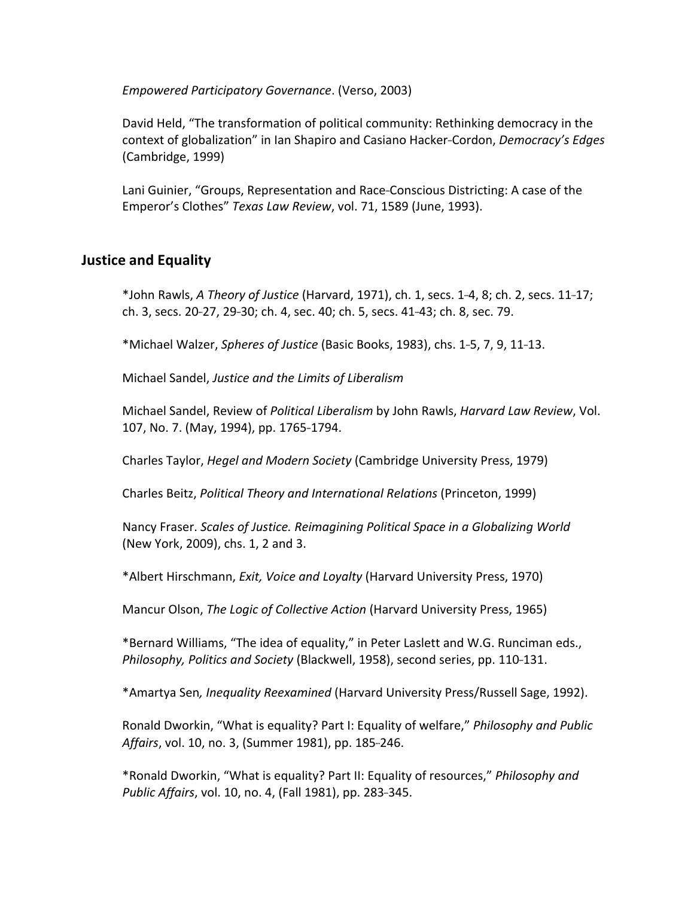*Empowered Participatory Governance*. (Verso, 2003)

 David Held, "The transformation of political community: Rethinking democracy in the context of globalization" in Ian Shapiro and Casiano Hacker-Cordon, *Democracy's Edges*  (Cambridge, 1999)

Lani Guinier, "Groups, Representation and Race-Conscious Districting: A case of the  Emperor's Clothes" *Texas Law Review*, vol. 71, 1589 (June, 1993).

### **Justice and Equality**

  \*John Rawls, *A Theory of Justice* (Harvard, 1971), ch. 1, secs. 1---4, 8; ch. 2, secs. 11---17; ch. 3, secs. 20-27, 29-30; ch. 4, sec. 40; ch. 5, secs. 41-43; ch. 8, sec. 79.

  \*Michael Walzer, *Spheres of Justice* (Basic Books, 1983), chs. 1---5, 7, 9, 11---13.

  Michael Sandel, *Justice and the Limits of Liberalism*

  Michael Sandel, Review of *Political Liberalism* by John Rawls, *Harvard Law Review*, Vol. 107, No. 7. (May, 1994), pp. 1765-1794.

  Charles Taylor, *Hegel and Modern Society* (Cambridge University Press, 1979) 

  Charles Beitz, *Political Theory and International Relations* (Princeton, 1999)

  Nancy Fraser. *Scales of Justice. Reimagining Political Space in a Globalizing World* (New York, 2009), chs. 1, 2 and 3.

 \*Albert Hirschmann, *Exit, Voice and Loyalty* (Harvard University Press, 1970)

Mancur Olson, The Logic of Collective Action (Harvard University Press, 1965)

\*Bernard Williams, "The idea of equality," in Peter Laslett and W.G. Runciman eds., *Philosophy, Politics and Society* (Blackwell, 1958), second series, pp. 110-131.

 \*Amartya Sen*, Inequality Reexamined* (Harvard University Press/Russell Sage, 1992).

Ronald Dworkin, "What is equality? Part I: Equality of welfare," *Philosophy and Public* Affairs, vol. 10, no. 3, (Summer 1981), pp. 185-246.

\*Ronald Dworkin, "What is equality? Part II: Equality of resources," *Philosophy and* Public Affairs, vol. 10, no. 4, (Fall 1981), pp. 283-345.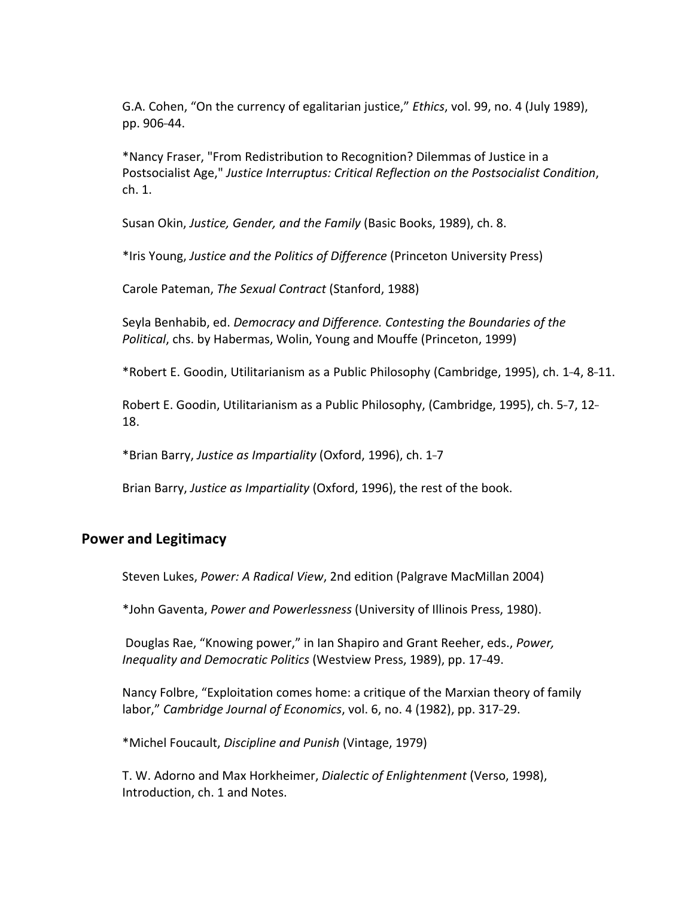G.A. Cohen, "On the currency of egalitarian justice," *Ethics*, vol. 99, no. 4 (July 1989), pp. 906-44.

 \*Nancy Fraser, "From Redistribution to Recognition? Dilemmas of Justice in a  Postsocialist Age," *Justice Interruptus: Critical Reflection on the Postsocialist Condition*, ch. 1.

  Susan Okin, *Justice, Gender, and the Family* (Basic Books, 1989), ch. 8.

  \*Iris Young, *Justice and the Politics of Difference* (Princeton University Press)

  Carole Pateman, *The Sexual Contract* (Stanford, 1988)

  Seyla Benhabib, ed. *Democracy and Difference. Contesting the Boundaries of the Political*, chs. by Habermas, Wolin, Young and Mouffe (Princeton, 1999)

\*Robert E. Goodin, Utilitarianism as a Public Philosophy (Cambridge, 1995), ch. 1-4, 8-11.

Robert E. Goodin, Utilitarianism as a Public Philosophy, (Cambridge, 1995), ch. 5-7, 12--18.

  \*Brian Barry, *Justice as Impartiality* (Oxford, 1996), ch. 1---7

Brian Barry, Justice as Impartiality (Oxford, 1996), the rest of the book.

#### **Power and Legitimacy**

Steven Lukes, Power: A Radical View, 2nd edition (Palgrave MacMillan 2004)

 \*John Gaventa, *Power and Powerlessness* (University of Illinois Press, 1980).

Douglas Rae, "Knowing power," in Ian Shapiro and Grant Reeher, eds., *Power,* Inequality and Democratic Politics (Westview Press, 1989), pp. 17-49.

Nancy Folbre, "Exploitation comes home: a critique of the Marxian theory of family labor," Cambridge Journal of *Economics*, vol. 6, no. 4 (1982), pp. 317-29.

  \*Michel Foucault, *Discipline and Punish* (Vintage, 1979)

 T. W. Adorno and Max Horkheimer, *Dialectic of Enlightenment* (Verso, 1998), Introduction, ch. 1 and Notes.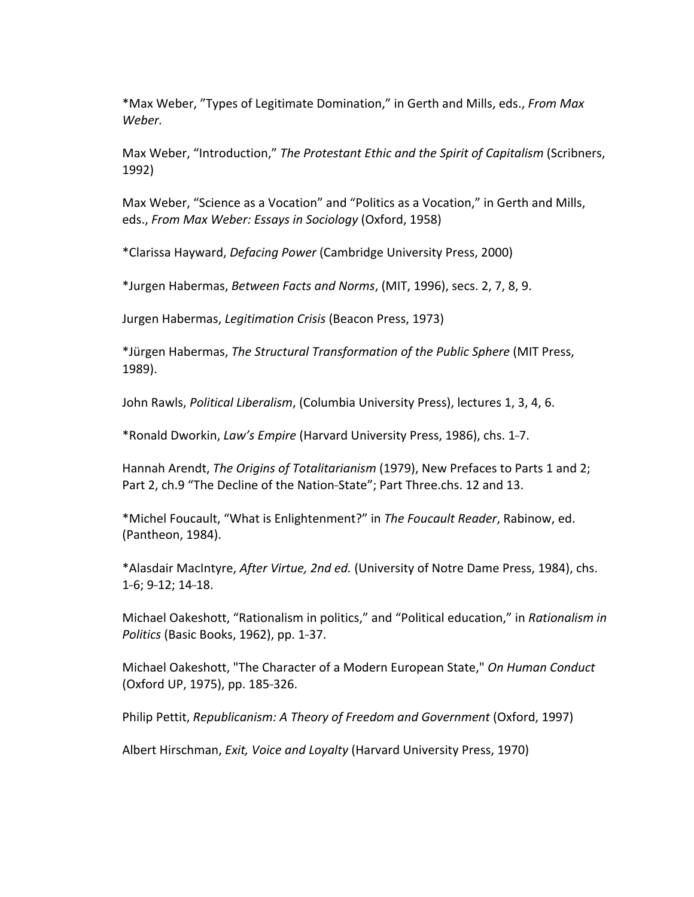\*Max Weber, "Types of Legitimate Domination," in Gerth and Mills, eds., *From Max Weber.*

  Max Weber, "Introduction," *The Protestant Ethic and the Spirit of Capitalism* (Scribners, 1992)

Max Weber, "Science as a Vocation" and "Politics as a Vocation," in Gerth and Mills,  eds., *From Max Weber: Essays in Sociology* (Oxford, 1958)

 \*Clarissa Hayward, *Defacing Power* (Cambridge University Press, 2000)

  \*Jurgen Habermas, *Between Facts and Norms*, (MIT, 1996), secs. 2, 7, 8, 9.

  Jurgen Habermas, *Legitimation Crisis* (Beacon Press, 1973)

  \*Jürgen Habermas, *The Structural Transformation of the Public Sphere* (MIT Press, 1989).

John Rawls, *Political Liberalism*, (Columbia University Press), lectures 1, 3, 4, 6.

\*Ronald Dworkin, *Law's Empire* (Harvard University Press, 1986), chs. 1-7.

Hannah Arendt, *The Origins of Totalitarianism* (1979), New Prefaces to Parts 1 and 2; Part 2, ch.9 "The Decline of the Nation-State"; Part Three.chs. 12 and 13.

\*Michel Foucault, "What is Enlightenment?" in The Foucault Reader, Rabinow, ed. (Pantheon, 1984).

  \*Alasdair MacIntyre, *After Virtue, 2nd ed.* (University of Notre Dame Press, 1984), chs. 1-6; 9-12; 14-18.

Michael Oakeshott, "Rationalism in politics," and "Political education," in *Rationalism in Politics* (Basic Books, 1962), pp. 1-37.

 Michael Oakeshott, "The Character of a Modern European State," *On Human Conduct* (Oxford UP, 1975), pp. 185-326.

  Philip Pettit, *Republicanism: A Theory of Freedom and Government* (Oxford, 1997)

Albert Hirschman, *Exit, Voice and Loyalty* (Harvard University Press, 1970)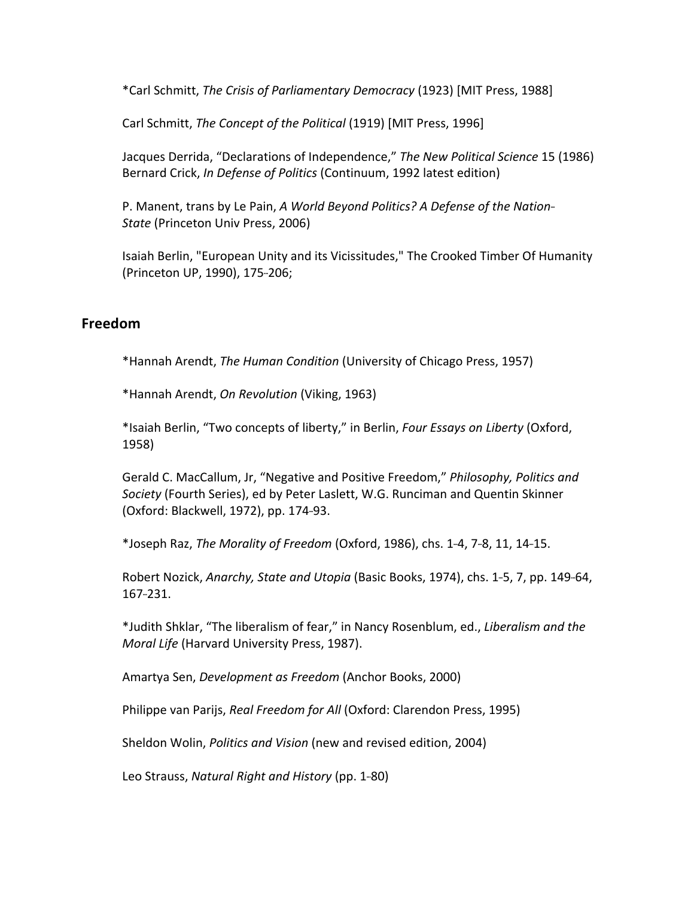\*Carl Schmitt, *The Crisis of Parliamentary Democracy* (1923) [MIT Press, 1988]

Carl Schmitt, *The Concept of the Political* (1919) [MIT Press, 1996]

  Jacques Derrida, "Declarations of Independence," *The New Political Science* 15 (1986) Bernard Crick, *In Defense of Politics* (Continuum, 1992 latest edition)

  P. Manent, trans by Le Pain, *A World Beyond Politics? A Defense of the Nation--- State* (Princeton Univ Press, 2006)

 Isaiah Berlin, "European Unity and its Vicissitudes," The Crooked Timber Of Humanity (Princeton UP, 1990), 175-206;

#### **Freedom**

  \*Hannah Arendt, *The Human Condition* (University of Chicago Press, 1957)

  \*Hannah Arendt, *On Revolution* (Viking, 1963)

  \*Isaiah Berlin, "Two concepts of liberty," in Berlin, *Four Essays on Liberty* (Oxford, 1958)

  Gerald C. MacCallum, Jr, "Negative and Positive Freedom," *Philosophy, Politics and Society* (Fourth Series), ed by Peter Laslett, W.G. Runciman and Quentin Skinner (Oxford: Blackwell, 1972), pp. 174-93.

  \*Joseph Raz, *The Morality of Freedom* (Oxford, 1986), chs. 1---4, 7---8, 11, 14---15.

Robert Nozick, Anarchy, State and Utopia (Basic Books, 1974), chs. 1-5, 7, pp. 149-64,  $167 - 231.$ 

 \*Judith Shklar, "The liberalism of fear," in Nancy Rosenblum, ed., *Liberalism and the Moral Life* (Harvard University Press, 1987).

Amartya Sen, *Development as Freedom* (Anchor Books, 2000)

Philippe van Parijs, *Real Freedom for All* (Oxford: Clarendon Press, 1995)

Sheldon Wolin, *Politics and Vision* (new and revised edition, 2004)

Leo Strauss, *Natural Right and History* (pp. 1-80)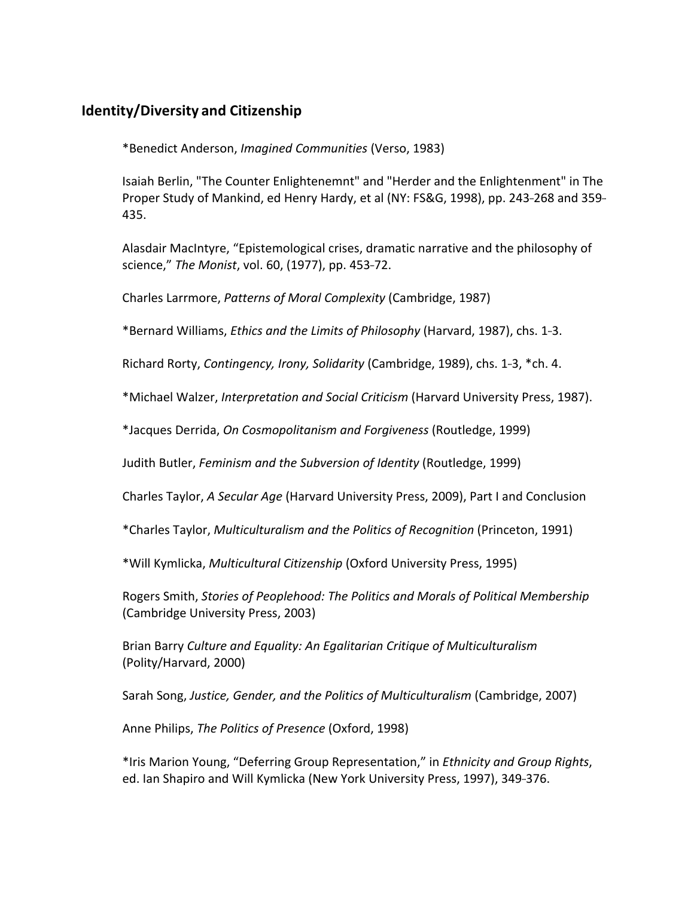### **Identity/Diversity and Citizenship**

\*Benedict Anderson, *Imagined Communities* (Verso, 1983)

 Isaiah Berlin, "The Counter Enlightenemnt" and "Herder and the Enlightenment" in The Proper Study of Mankind, ed Henry Hardy, et al (NY: FS&G, 1998), pp. 243-268 and 359--435.

 Alasdair MacIntyre, "Epistemological crises, dramatic narrative and the philosophy of science," The Monist, vol. 60, (1977), pp. 453-72.

  Charles Larrmore, *Patterns of Moral Complexity* (Cambridge, 1987)

  \*Bernard Williams, *Ethics and the Limits of Philosophy* (Harvard, 1987), chs. 1---3.

Richard Rorty, *Contingency, Irony, Solidarity* (Cambridge, 1989), chs. 1-3, \*ch. 4.

  \*Michael Walzer, *Interpretation and Social Criticism* (Harvard University Press, 1987).

 \*Jacques Derrida, *On Cosmopolitanism and Forgiveness* (Routledge, 1999)

  Judith Butler, *Feminism and the Subversion of Identity* (Routledge, 1999)

Charles Taylor, *A Secular Age* (Harvard University Press, 2009), Part I and Conclusion

  \*Charles Taylor, *Multiculturalism and the Politics of Recognition* (Princeton, 1991)

\*Will Kymlicka, *Multicultural Citizenship* (Oxford University Press, 1995)

  Rogers Smith, *Stories of Peoplehood: The Politics and Morals of Political Membership* (Cambridge University Press, 2003)

  Brian Barry *Culture and Equality: An Egalitarian Critique of Multiculturalism* (Polity/Harvard, 2000)

  Sarah Song, *Justice, Gender, and the Politics of Multiculturalism* (Cambridge, 2007)

 Anne Philips, *The Politics of Presence* (Oxford, 1998)

  \*Iris Marion Young, "Deferring Group Representation," in *Ethnicity and Group Rights*, ed. Ian Shapiro and Will Kymlicka (New York University Press, 1997), 349-376.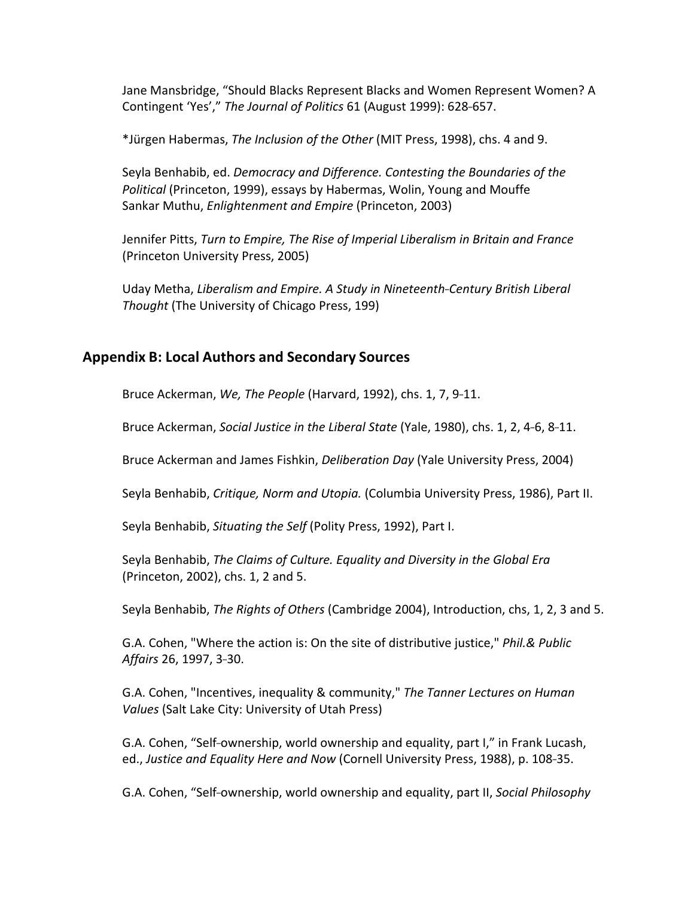Jane Mansbridge, "Should Blacks Represent Blacks and Women Represent Women? A Contingent 'Yes'," The Journal of Politics 61 (August 1999): 628-657.

  \*Jürgen Habermas, *The Inclusion of the Other* (MIT Press, 1998), chs. 4 and 9.

  Seyla Benhabib, ed. *Democracy and Difference. Contesting the Boundaries of the Political* (Princeton, 1999), essays by Habermas, Wolin, Young and Mouffe Sankar Muthu, *Enlightenment and Empire* (Princeton, 2003)

  Jennifer Pitts, *Turn to Empire, The Rise of Imperial Liberalism in Britain and France* (Princeton University Press, 2005)

  Uday Metha, *Liberalism and Empire. A Study in Nineteenth---Century British Liberal Thought* (The University of Chicago Press, 199)

### **Appendix B: Local Authors and Secondary Sources**

Bruce Ackerman, We, The People (Harvard, 1992), chs. 1, 7, 9-11.

Bruce Ackerman, *Social Justice in the Liberal State* (Yale, 1980), chs. 1, 2, 4-6, 8-11.

Bruce Ackerman and James Fishkin, *Deliberation Day* (Yale University Press, 2004)

Seyla Benhabib, *Critique, Norm and Utopia.* (Columbia University Press, 1986), Part II.

Seyla Benhabib, *Situating the Self* (Polity Press, 1992), Part I.

 Seyla Benhabib, *The Claims of Culture. Equality and Diversity in the Global Era* (Princeton, 2002), chs. 1, 2 and 5.

Seyla Benhabib, *The Rights of Others* (Cambridge 2004), Introduction, chs, 1, 2, 3 and 5.

 G.A. Cohen, "Where the action is: On the site of distributive justice," *Phil.& Public Affairs* 26, 1997, 3-30.

  G.A. Cohen, "Incentives, inequality & community," *The Tanner Lectures on Human* Values (Salt Lake City: University of Utah Press)

G.A. Cohen, "Self-ownership, world ownership and equality, part I," in Frank Lucash, ed., Justice and Equality Here and Now (Cornell University Press, 1988), p. 108-35.

G.A. Cohen, "Self-ownership, world ownership and equality, part II, Social Philosophy